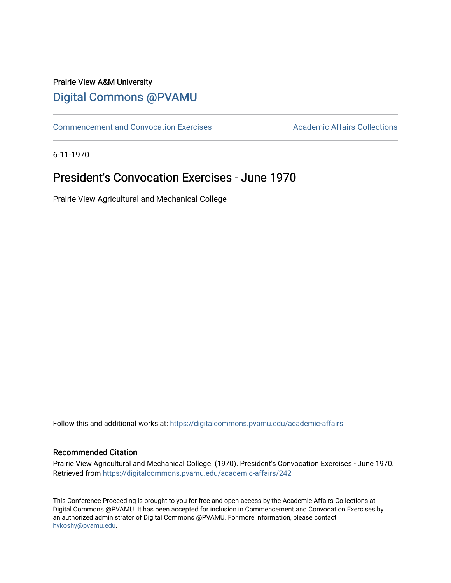## Prairie View A&M University [Digital Commons @PVAMU](https://digitalcommons.pvamu.edu/)

[Commencement and Convocation Exercises](https://digitalcommons.pvamu.edu/academic-affairs) **Academic Affairs Collections** 

6-11-1970

## **President's Convocation Exercises - June 1970**

Prairie View Agricultural and Mechanical College

Follow this and additional works at: [https://digitalcommons.pvamu.edu/academic-affairs](https://digitalcommons.pvamu.edu/academic-affairs?utm_source=digitalcommons.pvamu.edu%2Facademic-affairs%2F242&utm_medium=PDF&utm_campaign=PDFCoverPages)

#### Recommended Citation

Prairie View Agricultural and Mechanical College. (1970). President's Convocation Exercises - June 1970. Retrieved from [https://digitalcommons.pvamu.edu/academic-affairs/242](https://digitalcommons.pvamu.edu/academic-affairs/242?utm_source=digitalcommons.pvamu.edu%2Facademic-affairs%2F242&utm_medium=PDF&utm_campaign=PDFCoverPages) 

This Conference Proceeding is brought to you for free and open access by the Academic Affairs Collections at Digital Commons @PVAMU. It has been accepted for inclusion in Commencement and Convocation Exercises by an authorized administrator of Digital Commons @PVAMU. For more information, please contact [hvkoshy@pvamu.edu](mailto:hvkoshy@pvamu.edu).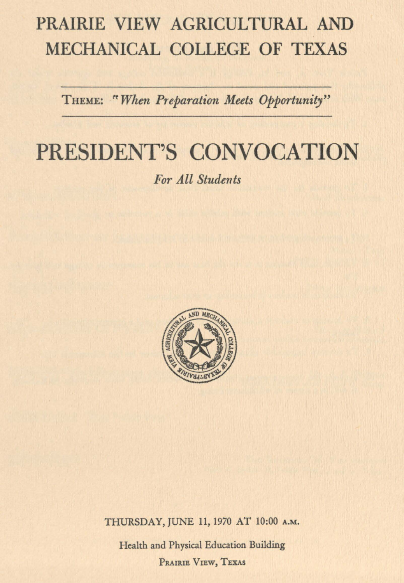# PRAIRIE VIEW AGRICULTURAL AND MECHANICAL COLLEGE OF TEXAS

THEME: "When Preparation Meets Opportunity"

# PRESIDENT'S CONVOCATION

*For All Students* 



THURSDAY, JUNE 11, 1970 AT 10:00 **A.M.** 

Health and Physical Education Building PRAIRIE VIEW, TEXAS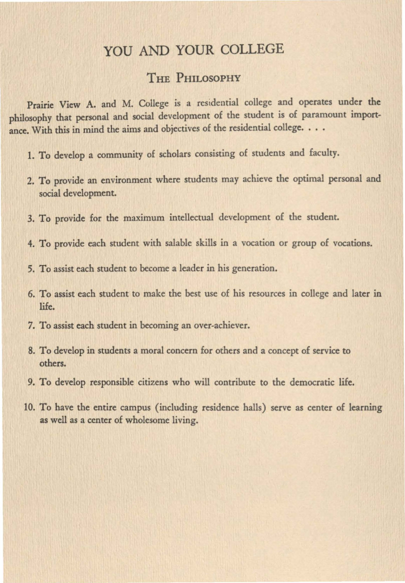### YOU AND YOUR COLLEGE

#### THE PHILOSOPHY

Prairie View A. and M. College is a residential college and operates under the philosophy that personal and social development of the student is of paramount importance. With this in mind the aims and objectives of the residential college. . . .

- 1. To develop a community of scholars consisting of students and faculty.
- 2. To provide an environment where students may achieve the optimal personal and social development.
- 3. To provide for the maximum intellectual development of the student.
- 4. To provide each student with salable skills in a vocation or group of vocations.
- 5. To assist each student to become a leader in his generation.
- 6. To assist each student to make the best use of his resources in college and later in life.
- 7. To assist each student in becoming an over-achiever.
- 8. To develop in students a moral concern for others and a concept of service to others.
- 9. To develop responsible citizens who will contribute to the democratic life.
- 10. To have the entire campus (including residence halls) serve as center of learning as well as a center of wholesome living.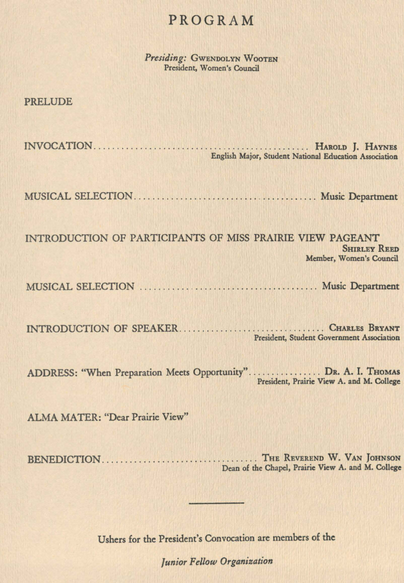### PROGRAM

*Presiding:* GWENDOLYN WOOTEN President, Women's Council

PRELUDE

INVOCATION . . . . . . . . . . . . . . . . . . . . . . . . . . . . . . . . . . . . . . . . . . . . . . . HAROLD J. HAYNES English Major, Student National Education Association

MUSICAL SELECTION .. ... .. . ................... . . ....... .. .. Music Department

INTRODUCTION OF PARTICIPANTS OF MISS PRAIRIE VIEW PAGEANT **SHIRLEY REED** Member, Women's Council

MUSICAL SELECTION . . . . . . . . . . . . .......................... Music Department

INTRODUCTION OF SPEAKER ... . . .. .. . .. . .. .. . . .. .. ... .. .. . . CHARLES **BRYANT**  President, Student **Government Association** 

ADDRESS: "When Preparation Meets Opportunity"................ DR. A. I. THOMAS President, Prairie **View A.** and M. College

ALMA MATER: "Dear Prairie View"

BENEDICTION .... .. ...... ..... .. .. . . ... .. ...... THE REVEREND W. VAN JoHNSON Dean of the Chapel, Prairie View A. and M. College

Ushers for the President's Convocation are members of the

*/unior Fellow Organization*